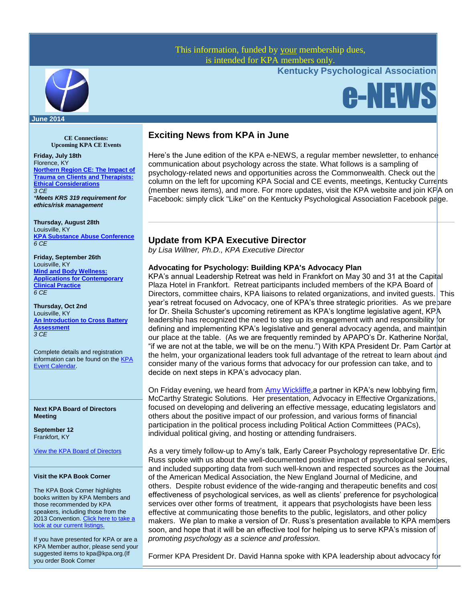## This information, funded by your membership dues, is intended for KPA members only.

**Kentucky Psychological Association**

e-NEWS



#### **June 2014**

**CE Connections: Upcoming KPA CE Events**

**Friday, July 18th** Florence, KY **[Northern Region CE: The Impact of](http://www.kpa.org/events/event_details.asp?id=451356&group=)  [Trauma on Clients and Therapists:](http://www.kpa.org/events/event_details.asp?id=451356&group=)  [Ethical Considerations](http://www.kpa.org/events/event_details.asp?id=451356&group=)** *3 CE \*Meets KRS 319 requirement for ethics/risk management*

**Thursday, August 28th** Louisville, KY **[KPA Substance Abuse Conference](http://www.kpa.org/event/2014_Substance_Abuse)** *6 CE*

**Friday, September 26th** Louisville, KY **[Mind and Body Wellness:](http://www.kpa.org/events/event_details.asp?id=388028&group=)  [Applications for Contemporary](http://www.kpa.org/events/event_details.asp?id=388028&group=)  [Clinical Practice](http://www.kpa.org/events/event_details.asp?id=388028&group=)**  *6 CE*

**Thursday, Oct 2nd** Louisville, K[Y](http://www.kpa.org/events/event_details.asp?id=388028&group=) **[An Introduction to Cross Battery](http://www.kpa.org/events/event_details.asp?id=388028&group=)  [Assessment](http://www.kpa.org/events/event_details.asp?id=388028&group=)** *3 CE*

Complete details and registration information can be found on the **KPA** [Event Calendar.](http://www.kpa.org/events/event_list.asp)

**Next KPA Board of Directors Meeting**

**September 12** Frankfort, KY

[View the KPA Board of Directors](http://www.kpa.org/?page=BoardofDirectors)

### **Visit the KPA Book Corner**

The KPA Book Corner highlights books written by KPA Members and those recommended by KPA speakers, including those from the 2013 Convention. Click here to take a [look at our current listings.](http://www.kpa.org/?477)

If you have presented for KPA or are a KPA Member author, please send your suggested items to kpa@kpa.org.(If you order Book Corner

## **Exciting News from KPA in June**

Here's the June edition of the KPA e-NEWS, a regular member newsletter, to enhance communication about psychology across the state. What follows is a sampling of psychology-related news and opportunities across the Commonwealth. Check out the column on the left for upcoming KPA Social and CE events, meetings, Kentucky Currents (member news items), and more. For more updates, visit the KPA website and join KPA on Facebook: simply click "Like" on the Kentucky Psychological Association Facebook page.

### **Update from KPA Executive Director**

*by Lisa Willner, Ph.D., KPA Executive Director*

### **Advocating for Psychology: Building KPA's Advocacy Plan**

KPA's annual Leadership Retreat was held in Frankfort on May 30 and 31 at the Capital Plaza Hotel in Frankfort. Retreat participants included members of the KPA Board of Directors, committee chairs, KPA liaisons to related organizations, and invited guests. This year's retreat focused on Advocacy, one of KPA's three strategic priorities. As we prepare for Dr. Sheila Schuster's upcoming retirement as KPA's longtime legislative agent, KPA leadership has recognized the need to step up its engagement with and responsibility for defining and implementing KPA's legislative and general advocacy agenda, and maintain our place at the table. (As we are frequently reminded by APAPO's Dr. Katherine Nordal, "if we are not at the table, we will be on the menu.") With KPA President Dr. Pam Cartor at the helm, your organizational leaders took full advantage of the retreat to learn about and consider many of the various forms that advocacy for our profession can take, and to decide on next steps in KPA's advocacy plan.

On Friday evening, we heard from [Amy Wickliffe,](http://www.mssgov.com/STAFF/Partner/AmyWickliffe.aspx)a partner in KPA's new lobbying firm, McCarthy Strategic Solutions. Her presentation, Advocacy in Effective Organizations, focused on developing and delivering an effective message, educating legislators and others about the positive impact of our profession, and various forms of financial participation in the political process including Political Action Committees (PACs), individual political giving, and hosting or attending fundraisers.

As a very timely follow-up to Amy's talk, Early Career Psychology representative Dr. Eric Russ spoke with us about the well-documented positive impact of psychological services, and included supporting data from such well-known and respected sources as the Journal of the American Medical Association, the New England Journal of Medicine, and others. Despite robust evidence of the wide-ranging and therapeutic benefits and cost effectiveness of psychological services, as well as clients' preference for psychological services over other forms of treatment, it appears that psychologists have been less effective at communicating those benefits to the public, legislators, and other policy makers. We plan to make a version of Dr. Russ's presentation available to KPA members soon, and hope that it will be an effective tool for helping us to serve KPA's mission of *promoting psychology as a science and profession.* 

Former KPA President Dr. David Hanna spoke with KPA leadership about advocacy for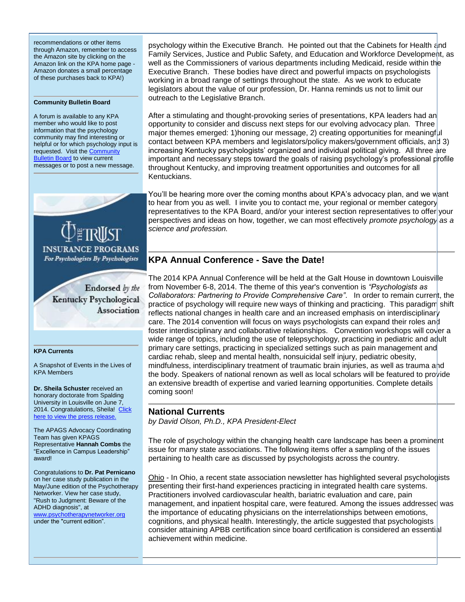recommendations or other items through Amazon, remember to access the Amazon site by clicking on the Amazon link on the KPA home page - Amazon donates a small percentage of these purchases back to KPA!)

#### **Community Bulletin Board**

A forum is available to any KPA member who would like to post information that the psychology community may find interesting or helpful or for which psychology input is requested. Visit the **Community [Bulletin Board](http://kpa.site-ym.com/forums/)** to view current messages or to post a new message.



For Psychologists By Psychologists

Endorsed by the Kentucky Psychological Association

#### **KPA Currents**

A Snapshot of Events in the Lives of KPA Members

**Dr. Sheila Schuster** received an honorary doctorate from Spalding University in Louisville on June 7, 2014. Congratulations, Sheila! [Click](http://spalding.edu/su-honors-local-leaders-honorary-doctorates/)  here to view the press rel

The APAGS Advocacy Coordinating Team has given KPAGS Representative **Hannah Combs** the "Excellence in Campus Leadership" award!

Congratulations to **Dr. Pat Pernicano** on her case study publication in the May/June edition of the Psychotherapy Networker. View her case study, "Rush to Judgment: Beware of the ADHD diagnosis", at [www.psychotherapynetworker.org](http://www.psychotherapynetworker.org/) under the "current edition".

psychology within the Executive Branch. He pointed out that the Cabinets for Health and Family Services, Justice and Public Safety, and Education and Workforce Development, as well as the Commissioners of various departments including Medicaid, reside within the Executive Branch. These bodies have direct and powerful impacts on psychologists working in a broad range of settings throughout the state. As we work to educate legislators about the value of our profession, Dr. Hanna reminds us not to limit our outreach to the Legislative Branch.

After a stimulating and thought-provoking series of presentations, KPA leaders had an opportunity to consider and discuss next steps for our evolving advocacy plan. Three major themes emerged: 1)honing our message, 2) creating opportunities for meaningful contact between KPA members and legislators/policy makers/government officials, and 3) increasing Kentucky psychologists' organized and individual political giving. All three are important and necessary steps toward the goals of raising psychology's professional profile throughout Kentucky, and improving treatment opportunities and outcomes for all Kentuckians.

You'll be hearing more over the coming months about KPA's advocacy plan, and we want to hear from you as well. I invite you to contact me, your regional or member category representatives to the KPA Board, and/or your interest section representatives to offer your perspectives and ideas on how, together, we can most effectively *promote psychology as a science and profession.*

## **KPA Annual Conference - Save the Date!**

The 2014 KPA Annual Conference will be held at the Galt House in downtown Louisville from November 6-8, 2014. The theme of this year's convention is *"Psychologists as Collaborators: Partnering to Provide Comprehensive Care"*. In order to remain current, the practice of psychology will require new ways of thinking and practicing. This paradigm shift reflects national changes in health care and an increased emphasis on interdisciplinary care. The 2014 convention will focus on ways psychologists can expand their roles and foster interdisciplinary and collaborative relationships. Convention workshops will cover a wide range of topics, including the use of telepsychology, practicing in pediatric and adult primary care settings, practicing in specialized settings such as pain management and cardiac rehab, sleep and mental health, nonsuicidal self injury, pediatric obesity, mindfulness, interdisciplinary treatment of traumatic brain injuries, as well as trauma and the body. Speakers of national renown as well as local scholars will be featured to provide an extensive breadth of expertise and varied learning opportunities. Complete details coming soon!

## **National Currents**

*by David Olson, Ph.D., KPA President-Elect* 

The role of psychology within the changing health care landscape has been a prominent issue for many state associations. The following items offer a sampling of the issues pertaining to health care as discussed by psychologists across the country.

Ohio - In Ohio, a recent state association newsletter has highlighted several psychologists presenting their first-hand experiences practicing in integrated health care systems. Practitioners involved cardiovascular health, bariatric evaluation and care, pain management, and inpatient hospital care, were featured. Among the issues addressed was the importance of educating physicians on the interrelationships between emotions, cognitions, and physical health. Interestingly, the article suggested that psychologists consider attaining APBB certification since board certification is considered an essential achievement within medicine.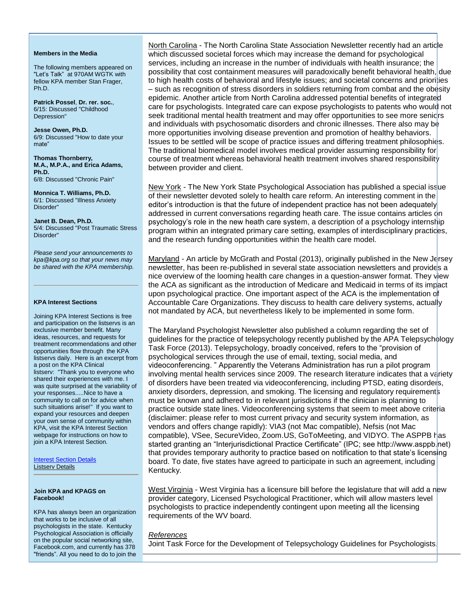#### **Members in the Media**

The following members appeared on "Let's Talk" at 970AM WGTK with fellow KPA member Stan Frager, Ph.D.

**Patrick Possel**, **Dr. rer. soc.**, 6/15: Discussed "Childhood Depression"

**Jesse Owen, Ph.D.** 6/9: Discussed "How to date your mate"

**Thomas Thornberry, M.A., M.P.A., and Erica Adams, Ph.D.** 6/8: Discussed "Chronic Pain"

**Monnica T. Williams, Ph.D.** 6/1: Discussed "Illness Anxiety Disorder"

**Janet B. Dean, Ph.D.** 5/4: Discussed "Post Traumatic Stress Disorder"

*Please send your announcements to kpa@kpa.org so that your news may be shared with the KPA membership.* 

#### **KPA Interest Sections**

Joining KPA Interest Sections is free and participation on the listservs is an exclusive member benefit. Many ideas, resources, and requests for treatment recommendations and other opportunities flow through the KPA listservs daily. Here is an excerpt from a post on the KPA Clinical listserv: "Thank you to everyone who shared their experiences with me. I was quite surprised at the variability of your responses.....Nice to have a community to call on for advice when such situations arise!" If you want to expand your resources and deepen your own sense of community within KPA, visit the KPA Interest Section webpage for instructions on how to join a KPA Interest Section.

[Interest Section Details](http://www.kpa.org/?522)  [Listserv Details](http://www.kpa.org/?page=Listservs)

#### **Join KPA and KPAGS on Facebook!**

KPA has always been an organization that works to be inclusive of all psychologists in the state. Kentucky Psychological Association is officially on the popular social networking site, Facebook.com, and currently has 378 "friends". All you need to do to join the

North Carolina - The North Carolina State Association Newsletter recently had an article which discussed societal forces which may increase the demand for psychological services, including an increase in the number of individuals with health insurance; the possibility that cost containment measures will paradoxically benefit behavioral health, due to high health costs of behavioral and lifestyle issues; and societal concerns and priorities – such as recognition of stress disorders in soldiers returning from combat and the obesity epidemic. Another article from North Carolina addressed potential benefits of integrated care for psychologists. Integrated care can expose psychologists to patents who would not seek traditional mental health treatment and may offer opportunities to see more senicrs and individuals with psychosomatic disorders and chronic illnesses. There also may be more opportunities involving disease prevention and promotion of healthy behaviors. Issues to be settled will be scope of practice issues and differing treatment philosophies. The traditional biomedical model involves medical provider assuming responsibility for course of treatment whereas behavioral health treatment involves shared responsibility between provider and client.

New York - The New York State Psychological Association has published a special issue of their newsletter devoted solely to health care reform. An interesting comment in the editor's introduction is that the future of independent practice has not been adequately addressed in current conversations regarding heath care. The issue contains articles on psychology's role in the new heath care system, a description of a psychology internship program within an integrated primary care setting, examples of interdisciplinary practices, and the research funding opportunities within the health care model.

Maryland - An article by McGrath and Postal (2013), originally published in the New Jersey newsletter, has been re-published in several state association newsletters and provides a nice overview of the looming health care changes in a question-answer format. They view the ACA as significant as the introduction of Medicare and Medicaid in terms of its impact upon psychological practice. One important aspect of the ACA is the implementation of Accountable Care Organizations. They discuss to health care delivery systems, actually not mandated by ACA, but nevertheless likely to be implemented in some form.

The Maryland Psychologist Newsletter also published a column regarding the set of guidelines for the practice of telepsychology recently published by the APA Telepsychology Task Force (2013). Telepsychology, broadly conceived, refers to the "provision of psychological services through the use of email, texting, social media, and videoconferencing. " Apparently the Veterans Administration has run a pilot program involving mental health services since 2009. The research literature indicates that a variety of disorders have been treated via videoconferencing, including PTSD, eating disorders, anxiety disorders, depression, and smoking. The licensing and regulatory requirements must be known and adhered to in relevant jurisdictions if the clinician is planning to practice outside state lines. Videoconferencing systems that seem to meet above criteria (disclaimer: please refer to most current privacy and security system information, as vendors and offers change rapidly): VIA3 (not Mac compatible), Nefsis (not Mac compatible), VSee, SecureVideo, Zoom.US, GoToMeeting, and VIDYO. The ASPPB has started granting an "Interjurisdictional Practice Certificate" (IPC; see http://www.asppb.net) that provides temporary authority to practice based on notification to that state's licensing board. To date, five states have agreed to participate in such an agreement, including Kentucky.

West Virginia - West Virginia has a licensure bill before the legislature that will add a new provider category, Licensed Psychological Practitioner, which will allow masters level psychologists to practice independently contingent upon meeting all the licensing requirements of the WV board.

### *References*

Joint Task Force for the Development of Telepsychology Guidelines for Psychologists.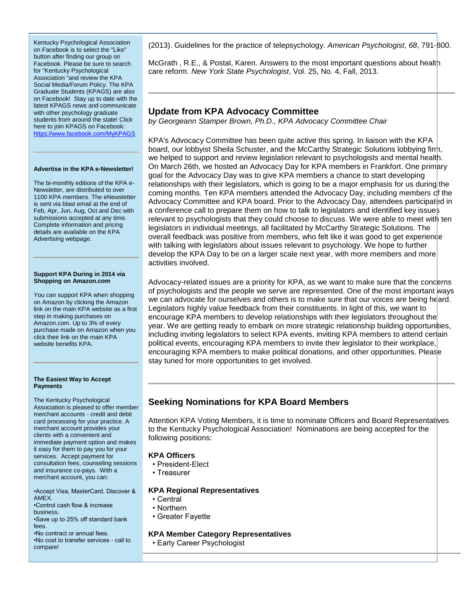Kentucky Psychological Association on Facebook is to select the "Like" button after finding our group on Facebook. Please be sure to search for "Kentucky Psychological Association "and review the KPA Social Media/Forum Policy. The KPA Graduate Students (KPAGS) are also on Facebook! Stay up to date with the latest KPAGS news and communicate with other psychology graduate students from around the state! Click here to join KPAGS on Facebook: <https://www.facebook.com/MyKPAGS>

#### **Advertise in the KPA e-Newsletter!**

The bi-monthly editions of the KPA e-Newsletter, are distributed to over 1100 KPA members. The eNewsletter is sent via blast email at the end of Feb, Apr, Jun, Aug, Oct and Dec with submissions accepted at any time. Complete information and pricing details are available on the KPA Advertising webpage.

#### **Support KPA During in 2014 via Shopping on Amazon.com**

You can support KPA when shopping on Amazon by clicking the Amazon link on the main KPA website as a first step in making purchases on Amazon.com. Up to 3% of every purchase made on Amazon when you click their link on the main KPA website benefits KPA.

#### **The Easiest Way to Accept Payments**

The Kentucky Psychological Association is pleased to offer member merchant accounts - credit and debit card processing for your practice. A merchant account provides your clients with a convenient and immediate payment option and makes it easy for them to pay you for your services. Accept payment for consultation fees, counseling sessions and insurance co-pays. With a merchant account, you can:

•Accept Visa, MasterCard, Discover & AMEX.

•Control cash flow & increase business.

•Save up to 25% off standard bank fees.

•No contract or annual fees.

•No cost to transfer services - call to compare!

(2013). Guidelines for the practice of telepsychology. *American Psychologist*, *68*, 791-800.

McGrath , R.E., & Postal, Karen. Answers to the most important questions about health care reform. *New York State Psychologist*, Vol. 25, No. 4, Fall, 2013.

## **Update from KPA Advocacy Committee**

*by Georgeann Stamper Brown, Ph.D., KPA Advocacy Committee Chair*

KPA's Advocacy Committee has been quite active this spring. In liaison with the KPA board, our lobbyist Sheila Schuster, and the McCarthy Strategic Solutions lobbying firm, we helped to support and review legislation relevant to psychologists and mental health. On March 26th, we hosted an Advocacy Day for KPA members in Frankfort. One primary goal for the Advocacy Day was to give KPA members a chance to start developing relationships with their legislators, which is going to be a major emphasis for us during the coming months. Ten KPA members attended the Advocacy Day, including members of the Advocacy Committee and KPA board. Prior to the Advocacy Day, attendees participated in a conference call to prepare them on how to talk to legislators and identified key issues relevant to psychologists that they could choose to discuss. We were able to meet with ten legislators in individual meetings, all facilitated by McCarthy Strategic Solutions. The overall feedback was positive from members, who felt like it was good to get experience with talking with legislators about issues relevant to psychology. We hope to further develop the KPA Day to be on a larger scale next year, with more members and more activities involved.

Advocacy-related issues are a priority for KPA, as we want to make sure that the concerns of psychologists and the people we serve are represented. One of the most important ways we can advocate for ourselves and others is to make sure that our voices are being heard. Legislators highly value feedback from their constituents. In light of this, we want to encourage KPA members to develop relationships with their legislators throughout the year. We are getting ready to embark on more strategic relationship building opportunities, including inviting legislators to select KPA events, inviting KPA members to attend certain political events, encouraging KPA members to invite their legislator to their workplace, encouraging KPA members to make political donations, and other opportunities. Please stay tuned for more opportunities to get involved.

# **Seeking Nominations for KPA Board Members**

Attention KPA Voting Members, it is time to nominate Officers and Board Representatives to the Kentucky Psychological Association! Nominations are being accepted for the following positions:

## **KPA Officers**

- President-Elect
- Treasurer

### **KPA Regional Representatives**

- Central
- Northern
- Greater Fayette

### **KPA Member Category Representatives**

• Early Career Psychologist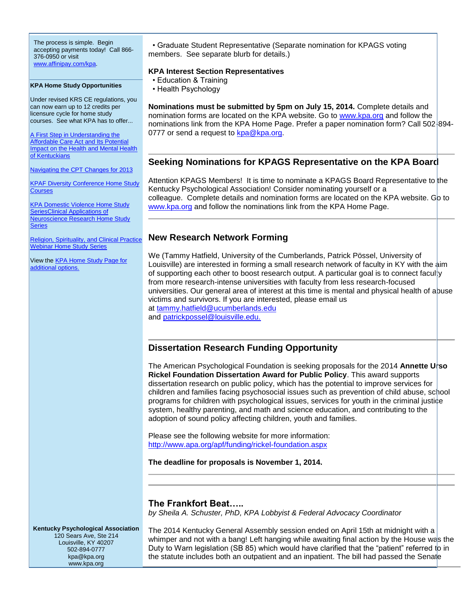The process is simple. Begin accepting payments today! Call 866- 376-0950 or visit [www.affinipay.com/kpa.](http://www.affinipay.com/kpa)

**KPA Home Study Opportunities**

Under revised KRS CE regulations, you can now earn up to 12 credits per licensure cycle for home study courses. See what KPA has to offer...

[A First Step in Understanding the](http://kpa.org/displaycommon.cfm?an=1&subarticlenbr=670)  **Affordable Care Act and Its Potential Impact on the Health and Mental Health** [of Kentuckians](http://kpa.org/displaycommon.cfm?an=1&subarticlenbr=670)

[Navigating the CPT Changes for 2013](http://www.kpa.org/?page=610)

**[KPAF Diversity Conference Home](http://www.kpa.org/general/custom.asp?page=606) Study [Courses](http://www.kpa.org/general/custom.asp?page=606)** 

[KPA Domestic Violence Home Study](http://www.kpa.org/?page=505)  [SeriesClinical Applications of](http://www.kpa.org/?page=505)  [Neuroscience Research Home Study](http://www.kpa.org/?page=505)  [Series](http://www.kpa.org/?page=505)

[Religion, Spirituality, and Clinical Practice](http://www.kpa.org/general/custom.asp?page=553)  [Webinar Home Study Series](http://www.kpa.org/general/custom.asp?page=553)

View the [KPA Home Study Page for](http://kpa.org/displaycommon.cfm?an=1&subarticlenbr=15)  [additional options.](http://kpa.org/displaycommon.cfm?an=1&subarticlenbr=15)

• Graduate Student Representative (Separate nomination for KPAGS voting members. See separate blurb for details.)

### **KPA Interest Section Representatives**

- Education & Training
- Health Psychology

**Nominations must be submitted by 5pm on July 15, 2014.** Complete details and nomination forms are located on the KPA website. Go to [www.kpa.org](http://www.kpa.org/) and follow the nominations link from the KPA Home Page. Prefer a paper nomination form? Call 502-894 0777 or send a request to [kpa@kpa.org.](mailto:kpa@kpa.org)

## **Seeking Nominations for KPAGS Representative on the KPA Board**

Attention KPAGS Members! It is time to nominate a KPAGS Board Representative to the Kentucky Psychological Association! Consider nominating yourself or a colleague. Complete details and nomination forms are located on the KPA website. Go to [www.kpa.org](http://www.kpa.org/) and follow the nominations link from the KPA Home Page.

## **New Research Network Forming**

We (Tammy Hatfield, University of the Cumberlands, Patrick Pössel, University of Louisville) are interested in forming a small research network of faculty in KY with the aim of supporting each other to boost research output. A particular goal is to connect faculty from more research-intense universities with faculty from less research-focused universities. Our general area of interest at this time is mental and physical health of abuse victims and survivors. If you are interested, please email us at [tammy.hatfield@ucumberlands.edu](mailto:tammy.hatfield@ucumberlands.edu) 

and **[patrickpossel@louisville.edu.](mailto:patrickpossel@louisville.edu)** 

## **Dissertation Research Funding Opportunity**

The American Psychological Foundation is seeking proposals for the 2014 **Annette Urso Rickel Foundation Dissertation Award for Public Policy**. This award supports dissertation research on public policy, which has the potential to improve services for children and families facing psychosocial issues such as prevention of child abuse, school programs for children with psychological issues, services for youth in the criminal justice system, healthy parenting, and math and science education, and contributing to the adoption of sound policy affecting children, youth and families.

Please see the following website for more information: [http://www.apa.org/apf/funding/rickel-foundation.aspx](http://) 

**The deadline for proposals is November 1, 2014.** 

### **The Frankfort Beat…..**

*by Sheila A. Schuster, PhD, KPA Lobbyist & Federal Advocacy Coordinator* 

**Kentucky Psychological Association** 120 Sears Ave, Ste 214 Louisville, KY 40207 502-894-0777 kpa@kpa.org www.kpa.org

The 2014 Kentucky General Assembly session ended on April 15th at midnight with a whimper and not with a bang! Left hanging while awaiting final action by the House was the Duty to Warn legislation (SB 85) which would have clarified that the "patient" referred to in the statute includes both an outpatient and an inpatient. The bill had passed the Senate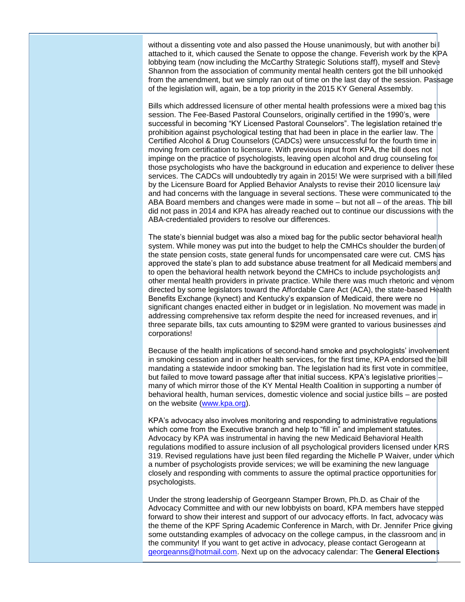without a dissenting vote and also passed the House unanimously, but with another bill attached to it, which caused the Senate to oppose the change. Feverish work by the KPA lobbying team (now including the McCarthy Strategic Solutions staff), myself and Steve Shannon from the association of community mental health centers got the bill unhooked from the amendment, but we simply ran out of time on the last day of the session. Passage of the legislation will, again, be a top priority in the 2015 KY General Assembly.

Bills which addressed licensure of other mental health professions were a mixed bag this session. The Fee-Based Pastoral Counselors, originally certified in the 1990's, were successful in becoming "KY Licensed Pastoral Counselors". The legislation retained the prohibition against psychological testing that had been in place in the earlier law. The Certified Alcohol & Drug Counselors (CADCs) were unsuccessful for the fourth time in moving from certification to licensure. With previous input from KPA, the bill does not impinge on the practice of psychologists, leaving open alcohol and drug counseling for those psychologists who have the background in education and experience to deliver these services. The CADCs will undoubtedly try again in 2015! We were surprised with a bill filed by the Licensure Board for Applied Behavior Analysts to revise their 2010 licensure law and had concerns with the language in several sections. These were communicated to the ABA Board members and changes were made in some – but not all – of the areas. The bill did not pass in 2014 and KPA has already reached out to continue our discussions with the ABA-credentialed providers to resolve our differences.

The state's biennial budget was also a mixed bag for the public sector behavioral health system. While money was put into the budget to help the CMHCs shoulder the burden of the state pension costs, state general funds for uncompensated care were cut. CMS has approved the state's plan to add substance abuse treatment for all Medicaid members and to open the behavioral health network beyond the CMHCs to include psychologists and other mental health providers in private practice. While there was much rhetoric and venom directed by some legislators toward the Affordable Care Act (ACA), the state-based Health Benefits Exchange (kynect) and Kentucky's expansion of Medicaid, there were no significant changes enacted either in budget or in legislation. No movement was made in addressing comprehensive tax reform despite the need for increased revenues, and in three separate bills, tax cuts amounting to \$29M were granted to various businesses and corporations!

Because of the health implications of second-hand smoke and psychologists' involvement in smoking cessation and in other health services, for the first time, KPA endorsed the bill mandating a statewide indoor smoking ban. The legislation had its first vote in committee, but failed to move toward passage after that initial success. KPA's legislative priorities – many of which mirror those of the KY Mental Health Coalition in supporting a number of behavioral health, human services, domestic violence and social justice bills – are posted on the website [\(www.kpa.org\)](http://www.kpa.org/).

KPA's advocacy also involves monitoring and responding to administrative regulations which come from the Executive branch and help to "fill in" and implement statutes. Advocacy by KPA was instrumental in having the new Medicaid Behavioral Health regulations modified to assure inclusion of all psychological providers licensed under  $KRS$ 319. Revised regulations have just been filed regarding the Michelle P Waiver, under which a number of psychologists provide services; we will be examining the new language closely and responding with comments to assure the optimal practice opportunities for psychologists.

Under the strong leadership of Georgeann Stamper Brown, Ph.D. as Chair of the Advocacy Committee and with our new lobbyists on board, KPA members have stepped forward to show their interest and support of our advocacy efforts. In fact, advocacy was the theme of the KPF Spring Academic Conference in March, with Dr. Jennifer Price giving some outstanding examples of advocacy on the college campus, in the classroom and in the community! If you want to get active in advocacy, please contact Gerogeann at [georgeanns@hotmail.com.](mailto:georgeanns@hotmail.com) Next up on the advocacy calendar: The **General Elections**